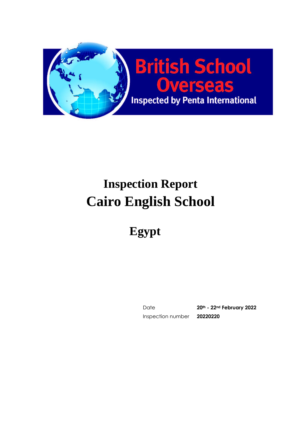

# **Inspection Report Cairo English School**

**Egypt**

Date **20th - 22nd February 2022** Inspection number **20220220**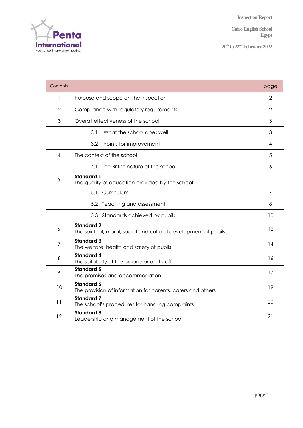**Cairo English School Egypt**

**20 th to 22 ndFebruary 2022**

| Contents               |                                                                                      | page           |  |  |  |  |  |
|------------------------|--------------------------------------------------------------------------------------|----------------|--|--|--|--|--|
| 1                      | Purpose and scope on the inspection                                                  |                |  |  |  |  |  |
| $\overline{2}$         | Compliance with regulatory requirements                                              |                |  |  |  |  |  |
| 3                      | Overall effectiveness of the school                                                  |                |  |  |  |  |  |
|                        | 3.1<br>What the school does well                                                     | 3              |  |  |  |  |  |
|                        | 3.2<br>Points for improvement                                                        | 4              |  |  |  |  |  |
| $\boldsymbol{\Lambda}$ | The context of the school                                                            |                |  |  |  |  |  |
|                        | 4.1 The British nature of the school                                                 | 6              |  |  |  |  |  |
| 5                      | <b>Standard 1</b><br>The quality of education provided by the school                 |                |  |  |  |  |  |
|                        | 5.1<br>Curriculum                                                                    | $\overline{7}$ |  |  |  |  |  |
|                        | 5.2 Teaching and assessment                                                          | 8              |  |  |  |  |  |
|                        | 5.3 Standards achieved by pupils                                                     | 10             |  |  |  |  |  |
| 6                      | <b>Standard 2</b><br>The spiritual, moral, social and cultural development of pupils | 12             |  |  |  |  |  |
| 7                      | <b>Standard 3</b><br>The welfare, health and safety of pupils                        | 14             |  |  |  |  |  |
| 8                      | <b>Standard 4</b><br>The suitability of the proprietor and staff                     | 16             |  |  |  |  |  |
| 9                      | <b>Standard 5</b><br>The premises and accommodation                                  | 17             |  |  |  |  |  |
| 10                     | <b>Standard 6</b><br>The provision of information for parents, carers and others     | 19             |  |  |  |  |  |
| 11                     | <b>Standard 7</b><br>The school's procedures for handling complaints                 | 20             |  |  |  |  |  |
| 12                     | <b>Standard 8</b><br>Leadership and management of the school                         | 21             |  |  |  |  |  |

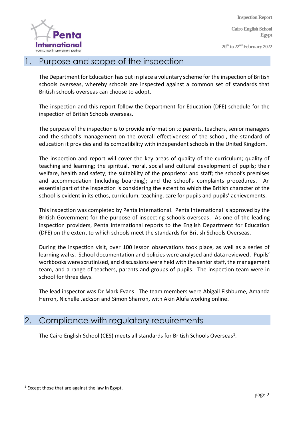**Cairo English School Egypt**

**20 th to 22 ndFebruary 2022**



## 1. Purpose and scope of the inspection

The Department for Education has put in place a voluntary scheme for the inspection of British schools overseas, whereby schools are inspected against a common set of standards that British schools overseas can choose to adopt.

The inspection and this report follow the Department for Education (DFE) schedule for the inspection of British Schools overseas.

The purpose of the inspection is to provide information to parents, teachers, senior managers and the school's management on the overall effectiveness of the school, the standard of education it provides and its compatibility with independent schools in the United Kingdom.

The inspection and report will cover the key areas of quality of the curriculum; quality of teaching and learning; the spiritual, moral, social and cultural development of pupils; their welfare, health and safety; the suitability of the proprietor and staff; the school's premises and accommodation (including boarding); and the school's complaints procedures. An essential part of the inspection is considering the extent to which the British character of the school is evident in its ethos, curriculum, teaching, care for pupils and pupils' achievements.

This inspection was completed by Penta International. Penta International is approved by the British Government for the purpose of inspecting schools overseas. As one of the leading inspection providers, Penta International reports to the English Department for Education (DFE) on the extent to which schools meet the standards for British Schools Overseas.

During the inspection visit, over 100 lesson observations took place, as well as a series of learning walks. School documentation and policies were analysed and data reviewed. Pupils' workbooks were scrutinised, and discussions were held with the senior staff, the management team, and a range of teachers, parents and groups of pupils. The inspection team were in school for three days.

The lead inspector was Dr Mark Evans. The team members were Abigail Fishburne, Amanda Herron, Nichelle Jackson and Simon Sharron, with Akin Alufa working online.

## 2. Compliance with regulatory requirements

The Cairo English School (CES) meets all standards for British Schools Overseas<sup>1</sup>.

<sup>1</sup> Except those that are against the law in Egypt.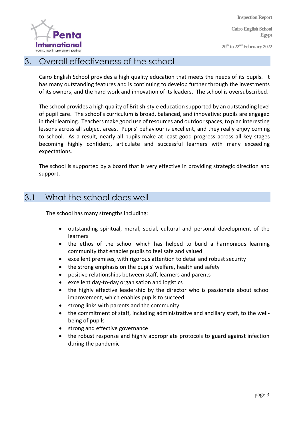**Cairo English School Egypt**

**20 th to 22 ndFebruary 2022**



#### 3. Overall effectiveness of the school

Cairo English School provides a high quality education that meets the needs of its pupils. It has many outstanding features and is continuing to develop further through the investments of its owners, and the hard work and innovation of its leaders. The school is oversubscribed.

The school provides a high quality of British-style education supported by an outstanding level of pupil care. The school's curriculum is broad, balanced, and innovative: pupils are engaged in their learning. Teachers make good use of resources and outdoor spaces, to plan interesting lessons across all subject areas. Pupils' behaviour is excellent, and they really enjoy coming to school. As a result, nearly all pupils make at least good progress across all key stages becoming highly confident, articulate and successful learners with many exceeding expectations.

The school is supported by a board that is very effective in providing strategic direction and support.

## 3.1 What the school does well

The school has many strengths including:

- outstanding spiritual, moral, social, cultural and personal development of the learners
- the ethos of the school which has helped to build a harmonious learning community that enables pupils to feel safe and valued
- excellent premises, with rigorous attention to detail and robust security
- the strong emphasis on the pupils' welfare, health and safety
- positive relationships between staff, learners and parents
- excellent day-to-day organisation and logistics
- the highly effective leadership by the director who is passionate about school improvement, which enables pupils to succeed
- strong links with parents and the community
- the commitment of staff, including administrative and ancillary staff, to the wellbeing of pupils
- strong and effective governance
- the robust response and highly appropriate protocols to guard against infection during the pandemic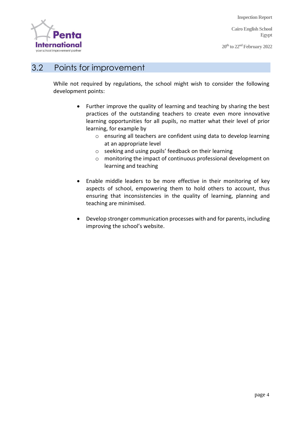**Cairo English School Egypt**

**20 th to 22 ndFebruary 2022**



## 3.2 Points for improvement

While not required by regulations, the school might wish to consider the following development points:

- Further improve the quality of learning and teaching by sharing the best practices of the outstanding teachers to create even more innovative learning opportunities for all pupils, no matter what their level of prior learning, for example by
	- o ensuring all teachers are confident using data to develop learning at an appropriate level
	- o seeking and using pupils' feedback on their learning
	- o monitoring the impact of continuous professional development on learning and teaching
- Enable middle leaders to be more effective in their monitoring of key aspects of school, empowering them to hold others to account, thus ensuring that inconsistencies in the quality of learning, planning and teaching are minimised.
- Develop stronger communication processes with and for parents, including improving the school's website.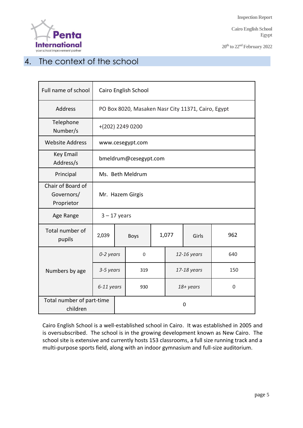**Cairo English School Egypt**

**20 th to 22 ndFebruary 2022**



# 4. The context of the school

| Full name of school                           | Cairo English School                               |  |             |  |                |  |             |  |
|-----------------------------------------------|----------------------------------------------------|--|-------------|--|----------------|--|-------------|--|
| <b>Address</b>                                | PO Box 8020, Masaken Nasr City 11371, Cairo, Egypt |  |             |  |                |  |             |  |
| Telephone<br>Number/s                         | +(202) 2249 0200                                   |  |             |  |                |  |             |  |
| <b>Website Address</b>                        | www.cesegypt.com                                   |  |             |  |                |  |             |  |
| <b>Key Email</b><br>Address/s                 | bmeldrum@cesegypt.com                              |  |             |  |                |  |             |  |
| Principal                                     | Ms. Beth Meldrum                                   |  |             |  |                |  |             |  |
| Chair of Board of<br>Governors/<br>Proprietor | Mr. Hazem Girgis                                   |  |             |  |                |  |             |  |
| Age Range                                     | $3 - 17$ years                                     |  |             |  |                |  |             |  |
| Total number of<br>pupils                     | 2,039                                              |  | <b>Boys</b> |  | 1,077<br>Girls |  | 962         |  |
|                                               | 0-2 years                                          |  | 0           |  | 12-16 years    |  | 640         |  |
| Numbers by age                                | 3-5 years                                          |  | 319         |  | 17-18 years    |  | 150         |  |
|                                               | 6-11 years                                         |  | 930         |  | 18+ years      |  | $\mathbf 0$ |  |
| Total number of part-time<br>children         |                                                    |  | $\mathbf 0$ |  |                |  |             |  |

Cairo English School is a well-established school in Cairo. It was established in 2005 and is oversubscribed. The school is in the growing development known as New Cairo. The school site is extensive and currently hosts 153 classrooms, a full size running track and a multi-purpose sports field, along with an indoor gymnasium and full-size auditorium.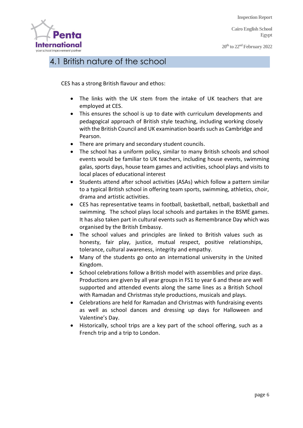**Cairo English School Egypt**

**20 th to 22 ndFebruary 2022**



# 4.1 British nature of the school

CES has a strong British flavour and ethos:

- The links with the UK stem from the intake of UK teachers that are employed at CES.
- This ensures the school is up to date with curriculum developments and pedagogical approach of British style teaching, including working closely with the British Council and UK examination boards such as Cambridge and Pearson.
- There are primary and secondary student councils.
- The school has a uniform policy, similar to many British schools and school events would be familiar to UK teachers, including house events, swimming galas, sports days, house team games and activities, school plays and visits to local places of educational interest
- Students attend after school activities (ASAs) which follow a pattern similar to a typical British school in offering team sports, swimming, athletics, choir, drama and artistic activities.
- CES has representative teams in football, basketball, netball, basketball and swimming. The school plays local schools and partakes in the BSME games. It has also taken part in cultural events such as Remembrance Day which was organised by the British Embassy.
- The school values and principles are linked to British values such as honesty, fair play, justice, mutual respect, positive relationships, tolerance, cultural awareness, integrity and empathy.
- Many of the students go onto an international university in the United Kingdom.
- School celebrations follow a British model with assemblies and prize days. Productions are given by all year groups in FS1 to year 6 and these are well supported and attended events along the same lines as a British School with Ramadan and Christmas style productions, musicals and plays.
- Celebrations are held for Ramadan and Christmas with fundraising events as well as school dances and dressing up days for Halloween and Valentine's Day.
- Historically, school trips are a key part of the school offering, such as a French trip and a trip to London.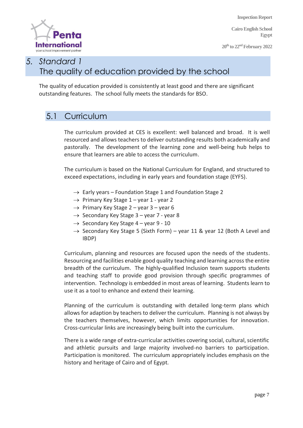**Cairo English School Egypt**

**20 th to 22 ndFebruary 2022**



## *5. Standard 1* The quality of education provided by the school

The quality of education provided is consistently at least good and there are significant outstanding features. The school fully meets the standards for BSO.

## 5.1 Curriculum

The curriculum provided at CES is excellent: well balanced and broad. It is well resourced and allows teachers to deliver outstanding results both academically and pastorally. The development of the learning zone and well-being hub helps to ensure that learners are able to access the curriculum.

The curriculum is based on the National Curriculum for England, and structured to exceed expectations, including in early years and foundation stage (EYFS).

- $\rightarrow$  Early years Foundation Stage 1 and Foundation Stage 2
- $\rightarrow$  Primary Key Stage 1 year 1 year 2
- $\rightarrow$  Primary Key Stage 2 year 3 year 6
- $\rightarrow$  Secondary Key Stage 3 year 7 year 8
- $\rightarrow$  Secondary Key Stage 4 year 9 10
- $\rightarrow$  Secondary Key Stage 5 (Sixth Form) year 11 & year 12 (Both A Level and IBDP)

Curriculum, planning and resources are focused upon the needs of the students. Resourcing and facilities enable good quality teaching and learning across the entire breadth of the curriculum. The highly-qualified Inclusion team supports students and teaching staff to provide good provision through specific programmes of intervention. Technology is embedded in most areas of learning. Students learn to use it as a tool to enhance and extend their learning.

Planning of the curriculum is outstanding with detailed long-term plans which allows for adaption by teachers to deliver the curriculum. Planning is not always by the teachers themselves, however, which limits opportunities for innovation. Cross-curricular links are increasingly being built into the curriculum.

There is a wide range of extra-curricular activities covering social, cultural, scientific and athletic pursuits and large majority involved-no barriers to participation. Participation is monitored. The curriculum appropriately includes emphasis on the history and heritage of Cairo and of Egypt.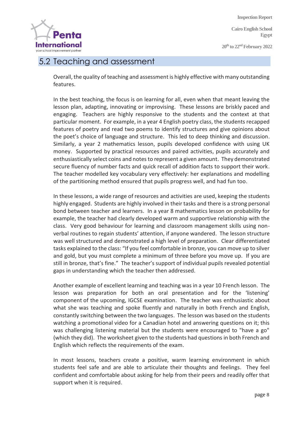**Cairo English School Egypt**

**20 th to 22 ndFebruary 2022**



#### 5.2 Teaching and assessment

Overall, the quality of teaching and assessment is highly effective with many outstanding features.

In the best teaching, the focus is on learning for all, even when that meant leaving the lesson plan, adapting, innovating or improvising. These lessons are briskly paced and engaging. Teachers are highly responsive to the students and the context at that particular moment. For example, in a year 4 English poetry class, the students recapped features of poetry and read two poems to identify structures and give opinions about the poet's choice of language and structure. This led to deep thinking and discussion. Similarly, a year 2 mathematics lesson, pupils developed confidence with using UK money. Supported by practical resources and paired activities, pupils accurately and enthusiastically select coins and notes to represent a given amount. They demonstrated secure fluency of number facts and quick recall of addition facts to support their work. The teacher modelled key vocabulary very effectively: her explanations and modelling of the partitioning method ensured that pupils progress well, and had fun too.

In these lessons, a wide range of resources and activities are used, keeping the students highly engaged. Students are highly involved in their tasks and there is a strong personal bond between teacher and learners. In a year 8 mathematics lesson on probability for example, the teacher had clearly developed warm and supportive relationship with the class. Very good behaviour for learning and classroom management skills using nonverbal routines to regain students' attention, if anyone wandered. The lesson structure was well structured and demonstrated a high level of preparation. Clear differentiated tasks explained to the class: "If you feel comfortable in bronze, you can move up to silver and gold, but you must complete a minimum of three before you move up. If you are still in bronze, that's fine." The teacher's support of individual pupils revealed potential gaps in understanding which the teacher then addressed.

Another example of excellent learning and teaching was in a year 10 French lesson. The lesson was preparation for both an oral presentation and for the 'listening' component of the upcoming, IGCSE examination. The teacher was enthusiastic about what she was teaching and spoke fluently and naturally in both French and English, constantly switching between the two languages. The lesson was based on the students watching a promotional video for a Canadian hotel and answering questions on it; this was challenging listening material but the students were encouraged to "have a go" (which they did). The worksheet given to the students had questions in both French and English which reflects the requirements of the exam.

In most lessons, teachers create a positive, warm learning environment in which students feel safe and are able to articulate their thoughts and feelings. They feel confident and comfortable about asking for help from their peers and readily offer that support when it is required.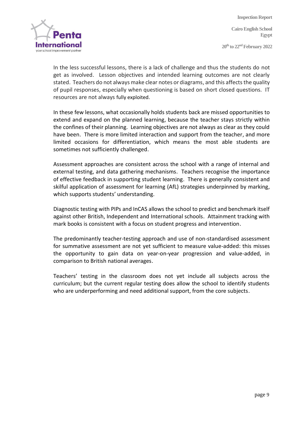**Cairo English School Egypt**

**20 th to 22 ndFebruary 2022**



In the less successful lessons, there is a lack of challenge and thus the students do not get as involved. Lesson objectives and intended learning outcomes are not clearly stated. Teachers do not always make clear notes or diagrams, and this affects the quality of pupil responses, especially when questioning is based on short closed questions. IT resources are not always fully exploited.

In these few lessons, what occasionally holds students back are missed opportunities to extend and expand on the planned learning, because the teacher stays strictly within the confines of their planning. Learning objectives are not always as clear as they could have been. There is more limited interaction and support from the teacher, and more limited occasions for differentiation, which means the most able students are sometimes not sufficiently challenged.

Assessment approaches are consistent across the school with a range of internal and external testing, and data gathering mechanisms. Teachers recognise the importance of effective feedback in supporting student learning. There is generally consistent and skilful application of assessment for learning (AfL) strategies underpinned by marking, which supports students' understanding.

Diagnostic testing with PIPs and InCAS allows the school to predict and benchmark itself against other British, Independent and International schools. Attainment tracking with mark books is consistent with a focus on student progress and intervention.

The predominantly teacher-testing approach and use of non-standardised assessment for summative assessment are not yet sufficient to measure value-added: this misses the opportunity to gain data on year-on-year progression and value-added, in comparison to British national averages.

Teachers' testing in the classroom does not yet include all subjects across the curriculum; but the current regular testing does allow the school to identify students who are underperforming and need additional support, from the core subjects.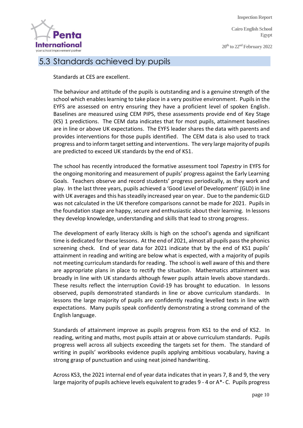**Cairo English School Egypt**

**20 th to 22 ndFebruary 2022**



### 5.3 Standards achieved by pupils

Standards at CES are excellent.

The behaviour and attitude of the pupils is outstanding and is a genuine strength of the school which enables learning to take place in a very positive environment. Pupils in the EYFS are assessed on entry ensuring they have a proficient level of spoken English. Baselines are measured using CEM PIPS, these assessments provide end of Key Stage (KS) 1 predictions. The CEM data indicates that for most pupils, attainment baselines are in line or above UK expectations. The EYFS leader shares the data with parents and provides interventions for those pupils identified. The CEM data is also used to track progress and to inform target setting and interventions. The very large majority of pupils are predicted to exceed UK standards by the end of KS1.

The school has recently introduced the formative assessment tool *Tapestry* in EYFS for the ongoing monitoring and measurement of pupils' progress against the Early Learning Goals. Teachers observe and record students' progress periodically, as they work and play. In the last three years, pupils achieved a 'Good Level of Development' (GLD) in line with UK averages and this has steadily increased year on year. Due to the pandemic GLD was not calculated in the UK therefore comparisons cannot be made for 2021. Pupils in the foundation stage are happy, secure and enthusiastic about their learning. In lessons they develop knowledge, understanding and skills that lead to strong progress.

The development of early literacy skills is high on the school's agenda and significant time is dedicated for these lessons. At the end of 2021, almost all pupils pass the phonics screening check. End of year data for 2021 indicate that by the end of KS1 pupils' attainment in reading and writing are below what is expected, with a majority of pupils not meeting curriculum standards for reading. The school is well aware of this and there are appropriate plans in place to rectify the situation. Mathematics attainment was broadly in line with UK standards although fewer pupils attain levels above standards. These results reflect the interruption Covid-19 has brought to education. In lessons observed, pupils demonstrated standards in line or above curriculum standards. In lessons the large majority of pupils are confidently reading levelled texts in line with expectations. Many pupils speak confidently demonstrating a strong command of the English language.

Standards of attainment improve as pupils progress from KS1 to the end of KS2. In reading, writing and maths, most pupils attain at or above curriculum standards. Pupils progress well across all subjects exceeding the targets set for them. The standard of writing in pupils' workbooks evidence pupils applying ambitious vocabulary, having a strong grasp of punctuation and using neat joined handwriting.

Across KS3, the 2021 internal end of year data indicates that in years 7, 8 and 9, the very large majority of pupils achieve levels equivalent to grades 9 - 4 or A\*- C. Pupils progress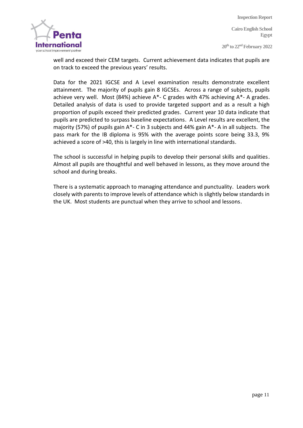**Cairo English School Egypt**

**20 th to 22 ndFebruary 2022**



well and exceed their CEM targets. Current achievement data indicates that pupils are on track to exceed the previous years' results.

Data for the 2021 IGCSE and A Level examination results demonstrate excellent attainment. The majority of pupils gain 8 IGCSEs. Across a range of subjects, pupils achieve very well. Most (84%) achieve A\*- C grades with 47% achieving A\*- A grades. Detailed analysis of data is used to provide targeted support and as a result a high proportion of pupils exceed their predicted grades. Current year 10 data indicate that pupils are predicted to surpass baseline expectations. A Level results are excellent, the majority (57%) of pupils gain A\*- C in 3 subjects and 44% gain A\*- A in all subjects. The pass mark for the IB diploma is 95% with the average points score being 33.3, 9% achieved a score of >40, this is largely in line with international standards.

The school is successful in helping pupils to develop their personal skills and qualities. Almost all pupils are thoughtful and well behaved in lessons, as they move around the school and during breaks.

There is a systematic approach to managing attendance and punctuality. Leaders work closely with parents to improve levels of attendance which is slightly below standards in the UK. Most students are punctual when they arrive to school and lessons.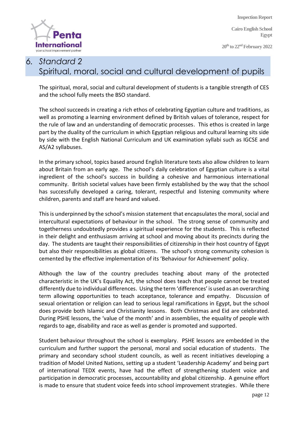**Cairo English School Egypt**

**20 th to 22 ndFebruary 2022**

# **International** vour school improvement partne

# *6. Standard 2*  Spiritual, moral, social and cultural development of pupils

The spiritual, moral, social and cultural development of students is a tangible strength of CES and the school fully meets the BSO standard.

The school succeeds in creating a rich ethos of celebrating Egyptian culture and traditions, as well as promoting a learning environment defined by British values of tolerance, respect for the rule of law and an understanding of democratic processes. This ethos is created in large part by the duality of the curriculum in which Egyptian religious and cultural learning sits side by side with the English National Curriculum and UK examination syllabi such as IGCSE and AS/A2 syllabuses.

In the primary school, topics based around English literature texts also allow children to learn about Britain from an early age. The school's daily celebration of Egyptian culture is a vital ingredient of the school's success in building a cohesive and harmonious international community. British societal values have been firmly established by the way that the school has successfully developed a caring, tolerant, respectful and listening community where children, parents and staff are heard and valued.

This is underpinned by the school's mission statement that encapsulates the moral, social and intercultural expectations of behaviour in the school. The strong sense of community and togetherness undoubtedly provides a spiritual experience for the students. This is reflected in their delight and enthusiasm arriving at school and moving about its precincts during the day. The students are taught their responsibilities of citizenship in their host country of Egypt but also their responsibilities as global citizens. The school's strong community cohesion is cemented by the effective implementation of its 'Behaviour for Achievement' policy.

Although the law of the country precludes teaching about many of the protected characteristic in the UK's Equality Act, the school does teach that people cannot be treated differently due to individual differences. Using the term 'differences' is used as an overarching term allowing opportunities to teach acceptance, tolerance and empathy. Discussion of sexual orientation or religion can lead to serious legal ramifications in Egypt, but the school does provide both Islamic and Christianity lessons. Both Christmas and Eid are celebrated. During PSHE lessons, the 'value of the month' and in assemblies, the equality of people with regards to age, disability and race as well as gender is promoted and supported.

Student behaviour throughout the school is exemplary. PSHE lessons are embedded in the curriculum and further support the personal, moral and social education of students. The primary and secondary school student councils, as well as recent initiatives developing a tradition of Model United Nations, setting up a student 'Leadership Academy' and being part of international TEDX events, have had the effect of strengthening student voice and participation in democratic processes, accountability and global citizenship. A genuine effort is made to ensure that student voice feeds into school improvement strategies. While there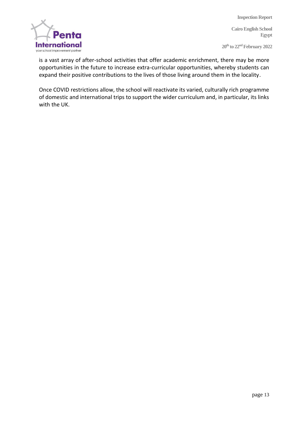**Cairo English School Egypt**

**20 th to 22 ndFebruary 2022**



is a vast array of after-school activities that offer academic enrichment, there may be more opportunities in the future to increase extra-curricular opportunities, whereby students can expand their positive contributions to the lives of those living around them in the locality.

Once COVID restrictions allow, the school will reactivate its varied, culturally rich programme of domestic and international trips to support the wider curriculum and, in particular, its links with the UK.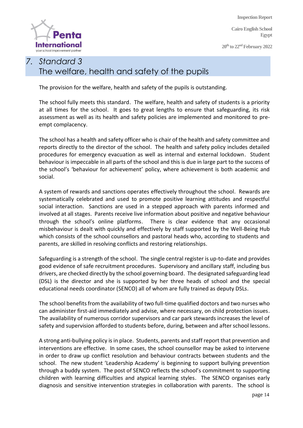**Cairo English School Egypt**

**20 th to 22 ndFebruary 2022**



## *7. Standard 3* The welfare, health and safety of the pupils

The provision for the welfare, health and safety of the pupils is outstanding.

The school fully meets this standard. The welfare, health and safety of students is a priority at all times for the school. It goes to great lengths to ensure that safeguarding, its risk assessment as well as its health and safety policies are implemented and monitored to preempt complacency.

The school has a health and safety officer who is chair of the health and safety committee and reports directly to the director of the school. The health and safety policy includes detailed procedures for emergency evacuation as well as internal and external lockdown. Student behaviour is impeccable in all parts of the school and this is due in large part to the success of the school's 'behaviour for achievement' policy, where achievement is both academic and social.

A system of rewards and sanctions operates effectively throughout the school. Rewards are systematically celebrated and used to promote positive learning attitudes and respectful social interaction. Sanctions are used in a stepped approach with parents informed and involved at all stages. Parents receive live information about positive and negative behaviour through the school's online platforms. There is clear evidence that any occasional misbehaviour is dealt with quickly and effectively by staff supported by the Well-Being Hub which consists of the school counsellors and pastoral heads who, according to students and parents, are skilled in resolving conflicts and restoring relationships.

Safeguarding is a strength of the school. The single central register is up-to-date and provides good evidence of safe recruitment procedures. Supervisory and ancillary staff, including bus drivers, are checked directly by the school governing board. The designated safeguarding lead (DSL) is the director and she is supported by her three heads of school and the special educational needs coordinator (SENCO) all of whom are fully trained as deputy DSLs.

The school benefits from the availability of two full-time qualified doctors and two nurses who can administer first-aid immediately and advise, where necessary, on child protection issues. The availability of numerous corridor supervisors and car park stewards increases the level of safety and supervision afforded to students before, during, between and after school lessons.

A strong anti-bullying policy is in place. Students, parents and staff report that prevention and interventions are effective. In some cases, the school counsellor may be asked to intervene in order to draw up conflict resolution and behaviour contracts between students and the school. The new student 'Leadership Academy' is beginning to support bullying prevention through a buddy system. The post of SENCO reflects the school's commitment to supporting children with learning difficulties and atypical learning styles. The SENCO organises early diagnosis and sensitive intervention strategies in collaboration with parents. The school is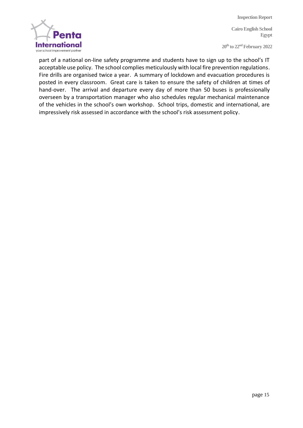**Cairo English School Egypt**

**20 th to 22 ndFebruary 2022**



part of a national on-line safety programme and students have to sign up to the school's IT acceptable use policy. The school complies meticulously with local fire prevention regulations. Fire drills are organised twice a year. A summary of lockdown and evacuation procedures is posted in every classroom. Great care is taken to ensure the safety of children at times of hand-over. The arrival and departure every day of more than 50 buses is professionally overseen by a transportation manager who also schedules regular mechanical maintenance of the vehicles in the school's own workshop. School trips, domestic and international, are impressively risk assessed in accordance with the school's risk assessment policy.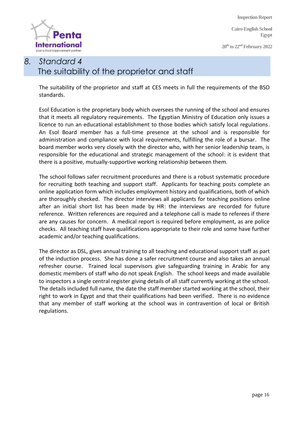**Cairo English School Egypt**

**20 th to 22 ndFebruary 2022**



# *8. Standard 4* The suitability of the proprietor and staff

The suitability of the proprietor and staff at CES meets in full the requirements of the BSO standards.

Esol Education is the proprietary body which oversees the running of the school and ensures that it meets all regulatory requirements. The Egyptian Ministry of Education only issues a licence to run an educational establishment to those bodies which satisfy local regulations. An Esol Board member has a full-time presence at the school and is responsible for administration and compliance with local requirements, fulfilling the role of a bursar. The board member works very closely with the director who, with her senior leadership team, is responsible for the educational and strategic management of the school: it is evident that there is a positive, mutually-supportive working relationship between them.

The school follows safer recruitment procedures and there is a robust systematic procedure for recruiting both teaching and support staff. Applicants for teaching posts complete an online application form which includes employment history and qualifications, both of which are thoroughly checked. The director interviews all applicants for teaching positions online after an initial short list has been made by HR: the interviews are recorded for future reference. Written references are required and a telephone call is made to referees if there are any causes for concern. A medical report is required before employment, as are police checks. All teaching staff have qualifications appropriate to their role and some have further academic and/or teaching qualifications.

The director as DSL, gives annual training to all teaching and educational support staff as part of the induction process. She has done a safer recruitment course and also takes an annual refresher course. Trained local supervisors give safeguarding training in Arabic for any domestic members of staff who do not speak English. The school keeps and made available to inspectors a single central register giving details of all staff currently working at the school. The details included full name, the date the staff member started working at the school, their right to work in Egypt and that their qualifications had been verified. There is no evidence that any member of staff working at the school was in contravention of local or British regulations.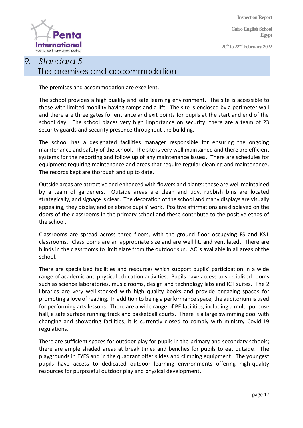**Cairo English School Egypt**

**20 th to 22 ndFebruary 2022**



# *9. Standard 5* The premises and accommodation

The premises and accommodation are excellent.

The school provides a high quality and safe learning environment. The site is accessible to those with limited mobility having ramps and a lift. The site is enclosed by a perimeter wall and there are three gates for entrance and exit points for pupils at the start and end of the school day. The school places very high importance on security: there are a team of 23 security guards and security presence throughout the building.

The school has a designated facilities manager responsible for ensuring the ongoing maintenance and safety of the school. The site is very well maintained and there are efficient systems for the reporting and follow up of any maintenance issues. There are schedules for equipment requiring maintenance and areas that require regular cleaning and maintenance. The records kept are thorough and up to date.

Outside areas are attractive and enhanced with flowers and plants: these are well maintained by a team of gardeners. Outside areas are clean and tidy, rubbish bins are located strategically, and signage is clear. The decoration of the school and many displays are visually appealing, they display and celebrate pupils' work. Positive affirmations are displayed on the doors of the classrooms in the primary school and these contribute to the positive ethos of the school.

Classrooms are spread across three floors, with the ground floor occupying FS and KS1 classrooms. Classrooms are an appropriate size and are well lit, and ventilated. There are blinds in the classrooms to limit glare from the outdoor sun. AC is available in all areas of the school.

There are specialised facilities and resources which support pupils' participation in a wide range of academic and physical education activities. Pupils have access to specialised rooms such as science laboratories, music rooms, design and technology labs and ICT suites. The 2 libraries are very well-stocked with high quality books and provide engaging spaces for promoting a love of reading. In addition to being a performance space, the auditorium is used for performing arts lessons. There are a wide range of PE facilities, including a multi-purpose hall, a safe surface running track and basketball courts. There is a large swimming pool with changing and showering facilities, it is currently closed to comply with ministry Covid-19 regulations.

There are sufficient spaces for outdoor play for pupils in the primary and secondary schools; there are ample shaded areas at break times and benches for pupils to eat outside. The playgrounds in EYFS and in the quadrant offer slides and climbing equipment. The youngest pupils have access to dedicated outdoor learning environments offering high-quality resources for purposeful outdoor play and physical development.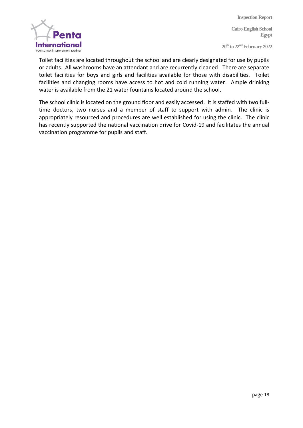**Cairo English School Egypt**

**20 th to 22 ndFebruary 2022**



Toilet facilities are located throughout the school and are clearly designated for use by pupils or adults. All washrooms have an attendant and are recurrently cleaned. There are separate toilet facilities for boys and girls and facilities available for those with disabilities. Toilet facilities and changing rooms have access to hot and cold running water. Ample drinking water is available from the 21 water fountains located around the school.

The school clinic is located on the ground floor and easily accessed. It is staffed with two fulltime doctors, two nurses and a member of staff to support with admin. The clinic is appropriately resourced and procedures are well established for using the clinic. The clinic has recently supported the national vaccination drive for Covid-19 and facilitates the annual vaccination programme for pupils and staff.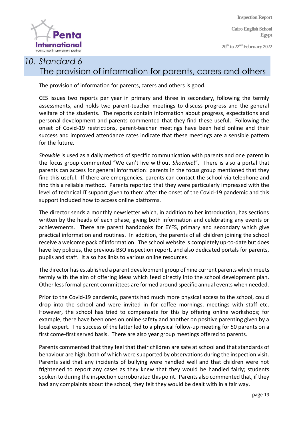**Cairo English School Egypt**

**20 th to 22 ndFebruary 2022**



## *10. Standard 6* The provision of information for parents, carers and others

The provision of information for parents, carers and others is good.

CES issues two reports per year in primary and three in secondary, following the termly assessments, and holds two parent-teacher meetings to discuss progress and the general welfare of the students. The reports contain information about progress, expectations and personal development and parents commented that they find these useful. Following the onset of Covid-19 restrictions, parent-teacher meetings have been held online and their success and improved attendance rates indicate that these meetings are a sensible pattern for the future.

*Showbie* is used as a daily method of specific communication with parents and one parent in the focus group commented "We can't live without *Showbie*!". There is also a portal that parents can access for general information: parents in the focus group mentioned that they find this useful. If there are emergencies, parents can contact the school via telephone and find this a reliable method. Parents reported that they were particularly impressed with the level of technical IT support given to them after the onset of the Covid-19 pandemic and this support included how to access online platforms.

The director sends a monthly newsletter which, in addition to her introduction, has sections written by the heads of each phase, giving both information and celebrating any events or achievements. There are parent handbooks for EYFS, primary and secondary which give practical information and routines. In addition, the parents of all children joining the school receive a welcome pack of information. The school website is completely up-to-date but does have key policies, the previous BSO inspection report, and also dedicated portals for parents, pupils and staff. It also has links to various online resources.

The director has established a parent development group of nine current parents which meets termly with the aim of offering ideas which feed directly into the school development plan. Other less formal parent committees are formed around specific annual events when needed.

Prior to the Covid-19 pandemic, parents had much more physical access to the school, could drop into the school and were invited in for coffee mornings, meetings with staff etc. However, the school has tried to compensate for this by offering online workshops; for example, there have been ones on online safety and another on positive parenting given by a local expert. The success of the latter led to a physical follow-up meeting for 50 parents on a first come-first served basis. There are also year group meetings offered to parents.

Parents commented that they feel that their children are safe at school and that standards of behaviour are high, both of which were supported by observations during the inspection visit. Parents said that any incidents of bullying were handled well and that children were not frightened to report any cases as they knew that they would be handled fairly; students spoken to during the inspection corroborated this point. Parents also commented that, if they had any complaints about the school, they felt they would be dealt with in a fair way.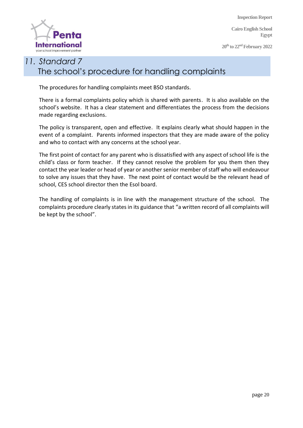**Cairo English School Egypt**

**20 th to 22 ndFebruary 2022**



## *11. Standard 7* The school's procedure for handling complaints

The procedures for handling complaints meet BSO standards.

There is a formal complaints policy which is shared with parents. It is also available on the school's website. It has a clear statement and differentiates the process from the decisions made regarding exclusions.

The policy is transparent, open and effective. It explains clearly what should happen in the event of a complaint. Parents informed inspectors that they are made aware of the policy and who to contact with any concerns at the school year.

The first point of contact for any parent who is dissatisfied with any aspect of school life is the child's class or form teacher. If they cannot resolve the problem for you them then they contact the year leader or head of year or another senior member of staff who will endeavour to solve any issues that they have. The next point of contact would be the relevant head of school, CES school director then the Esol board.

The handling of complaints is in line with the management structure of the school. The complaints procedure clearly states in its guidance that "a written record of all complaints will be kept by the school".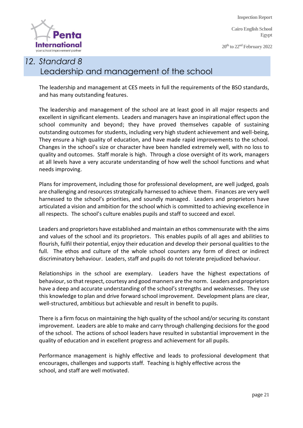**Cairo English School Egypt**

**20 th to 22 ndFebruary 2022**



# *12. Standard 8* Leadership and management of the school

The leadership and management at CES meets in full the requirements of the BSO standards, and has many outstanding features.

The leadership and management of the school are at least good in all major respects and excellent in significant elements. Leaders and managers have an inspirational effect upon the school community and beyond; they have proved themselves capable of sustaining outstanding outcomes for students, including very high student achievement and well-being, They ensure a high quality of education, and have made rapid improvements to the school. Changes in the school's size or character have been handled extremely well, with no loss to quality and outcomes. Staff morale is high. Through a close oversight of its work, managers at all levels have a very accurate understanding of how well the school functions and what needs improving.

Plans for improvement, including those for professional development, are well judged, goals are challenging and resources strategically harnessed to achieve them. Finances are very well harnessed to the school's priorities, and soundly managed. Leaders and proprietors have articulated a vision and ambition for the school which is committed to achieving excellence in all respects. The school's culture enables pupils and staff to succeed and excel.

Leaders and proprietors have established and maintain an ethos commensurate with the aims and values of the school and its proprietors. This enables pupils of all ages and abilities to flourish, fulfil their potential, enjoy their education and develop their personal qualities to the full. The ethos and culture of the whole school counters any form of direct or indirect discriminatory behaviour. Leaders, staff and pupils do not tolerate prejudiced behaviour.

Relationships in the school are exemplary. Leaders have the highest expectations of behaviour, so that respect, courtesy and good manners are the norm. Leaders and proprietors have a deep and accurate understanding of the school's strengths and weaknesses. They use this knowledge to plan and drive forward school improvement. Development plans are clear, well-structured, ambitious but achievable and result in benefit to pupils.

There is a firm focus on maintaining the high quality of the school and/or securing its constant improvement. Leaders are able to make and carry through challenging decisions for the good of the school. The actions of school leaders have resulted in substantial improvement in the quality of education and in excellent progress and achievement for all pupils.

Performance management is highly effective and leads to professional development that encourages, challenges and supports staff. Teaching is highly effective across the school, and staff are well motivated.